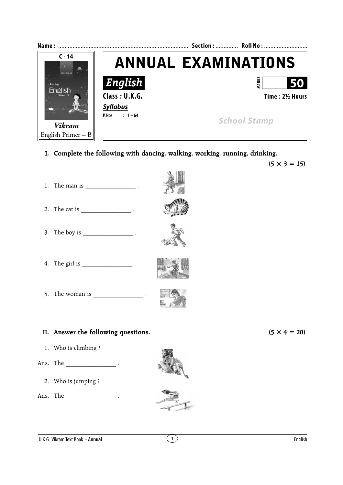

- **I. Complete the following with dancing, walking, working, running, drinking.**
- 1. The man is  $\blacksquare$ 2. The cat is  $\qquad \qquad$ 3. The boy is  $\cdot$ 4. The girl is  $\qquad \qquad$ 5. The woman is \_\_\_\_\_\_\_\_\_\_\_\_\_\_\_\_ . **II.** Answer the following questions.  $(5 \times 4 = 20)$
- 1. Who is climbing ?
- Ans. The \_\_\_\_\_\_\_\_\_\_\_\_\_\_\_\_\_\_\_\_\_ .
	- 2. Who is jumping ?
- Ans. The  $\qquad \qquad$





 $(5 \times 3 = 15)$